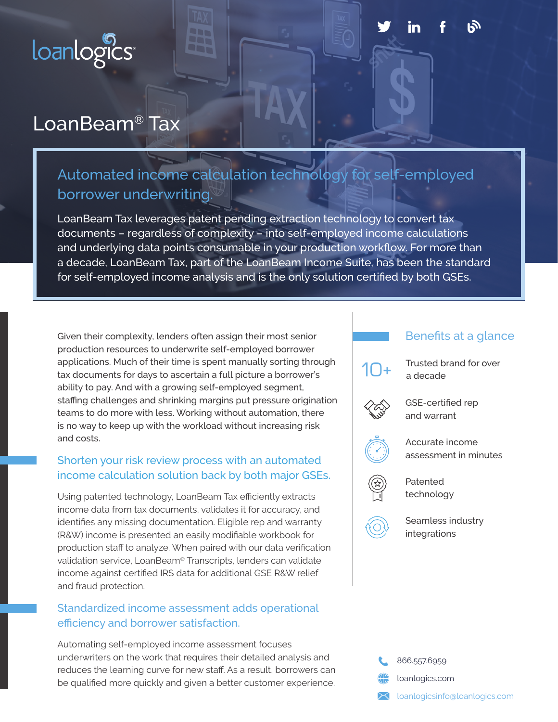

# LoanBeam® Tax

## Automated income calculation technology for self-employed borrower underwriting.

LoanBeam Tax leverages patent pending extraction technology to convert tax documents – regardless of complexity – into self-employed income calculations and underlying data points consumable in your production workflow. For more than a decade, LoanBeam Tax, part of the LoanBeam Income Suite, has been the standard for self-employed income analysis and is the only solution certified by both GSEs.

Given their complexity, lenders often assign their most senior production resources to underwrite self-employed borrower applications. Much of their time is spent manually sorting through tax documents for days to ascertain a full picture a borrower's ability to pay. And with a growing self-employed segment, staffing challenges and shrinking margins put pressure origination teams to do more with less. Working without automation, there is no way to keep up with the workload without increasing risk and costs.

#### Shorten your risk review process with an automated income calculation solution back by both major GSEs.

Using patented technology, LoanBeam Tax efficiently extracts income data from tax documents, validates it for accuracy, and identifies any missing documentation. Eligible rep and warranty (R&W) income is presented an easily modifiable workbook for production staff to analyze. When paired with our data verification validation service, LoanBeam® Transcripts, lenders can validate income against certified IRS data for additional GSE R&W relief and fraud protection.

#### Standardized income assessment adds operational efficiency and borrower satisfaction.

Automating self-employed income assessment focuses underwriters on the work that requires their detailed analysis and reduces the learning curve for new staff. As a result, borrowers can be qualified more quickly and given a better customer experience.

#### Benefits at a glance



Trusted brand for over a decade



GSE-certified rep and warrant



Accurate income assessment in minutes

Patented technology



Seamless industry integrations